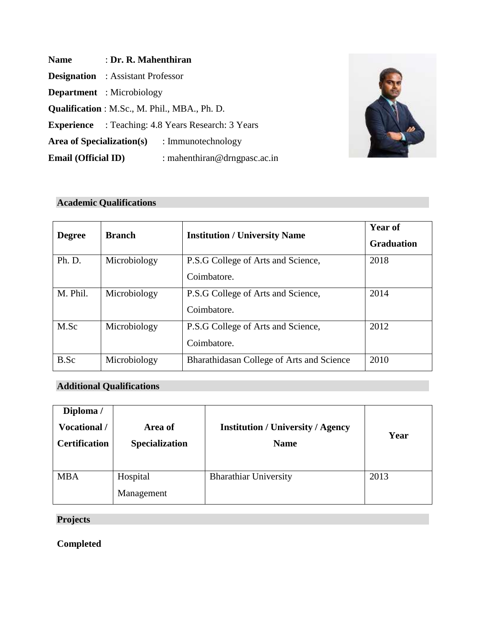| <b>Name</b>                | : Dr. R. Mahenthiran                     |                                                           |
|----------------------------|------------------------------------------|-----------------------------------------------------------|
|                            | <b>Designation</b> : Assistant Professor |                                                           |
|                            | <b>Department</b> : Microbiology         |                                                           |
|                            |                                          | Qualification: M.Sc., M. Phil., MBA., Ph. D.              |
|                            |                                          | <b>Experience</b> : Teaching: 4.8 Years Research: 3 Years |
|                            |                                          | <b>Area of Specialization(s)</b> : Immunotechnology       |
| <b>Email (Official ID)</b> |                                          | : mahenthiran@drngpasc.ac.in                              |



# **Academic Qualifications**

| <b>Degree</b> | <b>Branch</b> | <b>Institution / University Name</b>              | <b>Year of</b><br><b>Graduation</b> |
|---------------|---------------|---------------------------------------------------|-------------------------------------|
| Ph. D.        | Microbiology  | P.S.G College of Arts and Science,<br>Coimbatore. | 2018                                |
| M. Phil.      | Microbiology  | P.S.G College of Arts and Science,<br>Coimbatore. | 2014                                |
| M.Sc          | Microbiology  | P.S.G College of Arts and Science,<br>Coimbatore. | 2012                                |
| B.Sc          | Microbiology  | Bharathidasan College of Arts and Science         | 2010                                |

# **Additional Qualifications**

| Diploma /<br>Vocational /<br><b>Certification</b> | Area of<br><b>Specialization</b> | <b>Institution / University / Agency</b><br><b>Name</b> | Year |
|---------------------------------------------------|----------------------------------|---------------------------------------------------------|------|
| <b>MBA</b>                                        | Hospital<br>Management           | <b>Bharathiar University</b>                            | 2013 |

# **Projects**

**Completed**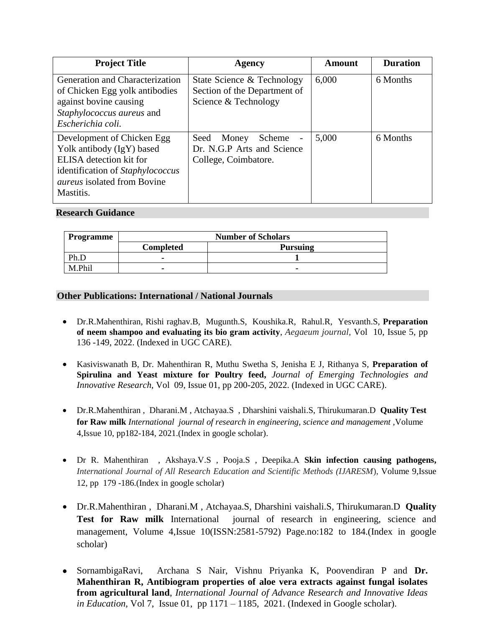| <b>Project Title</b>                                                                                                                                                      | Agency                                                                                                 | Amount | <b>Duration</b> |
|---------------------------------------------------------------------------------------------------------------------------------------------------------------------------|--------------------------------------------------------------------------------------------------------|--------|-----------------|
| Generation and Characterization<br>of Chicken Egg yolk antibodies<br>against bovine causing<br>Staphylococcus aureus and<br>Escherichia coli.                             | State Science & Technology<br>Section of the Department of<br>Science & Technology                     | 6,000  | 6 Months        |
| Development of Chicken Egg<br>Yolk antibody (IgY) based<br>ELISA detection kit for<br>identification of Staphylococcus<br><i>aureus</i> isolated from Bovine<br>Mastitis. | Seed Money<br>Scheme<br>$\overline{\phantom{a}}$<br>Dr. N.G.P Arts and Science<br>College, Coimbatore. | 5,000  | 6 Months        |

#### **Research Guidance**

| Programme | <b>Number of Scholars</b> |                 |
|-----------|---------------------------|-----------------|
|           | <b>Completed</b>          | <b>Pursuing</b> |
| Dh.       | -                         |                 |
| M.Phil    | -                         |                 |

#### **Other Publications: International / National Journals**

- Dr.R.Mahenthiran, Rishi raghav.B, Mugunth.S, Koushika.R, Rahul.R, Yesvanth.S, **Preparation of neem shampoo and evaluating its bio gram activity**, *Aegaeum journal,* Vol 10, Issue 5, pp 136 -149, 2022. (Indexed in UGC CARE).
- Kasiviswanath B, Dr. Mahenthiran R, Muthu Swetha S, Jenisha E J, Rithanya S, **Preparation of Spirulina and Yeast mixture for Poultry feed,** *Journal of Emerging Technologies and Innovative Research,* Vol 09, Issue 01, pp 200-205, 2022. (Indexed in UGC CARE).
- Dr.R.Mahenthiran , Dharani.M , Atchayaa.S , Dharshini vaishali.S, Thirukumaran.D **Quality Test for Raw milk** *International journal of research in engineering, science and management* ,Volume 4,Issue 10, pp182-184, 2021.(Index in google scholar).
- Dr R. Mahenthiran , Akshaya.V.S , Pooja.S , Deepika.A **Skin infection causing pathogens,** *International Journal of All Research Education and Scientific Methods (IJARESM*), Volume 9,Issue 12, pp 179 -186.(Index in google scholar)
- Dr.R.Mahenthiran , Dharani.M , Atchayaa.S, Dharshini vaishali.S, Thirukumaran.D **Quality Test for Raw milk** International journal of research in engineering, science and management, Volume 4,Issue 10(ISSN:2581-5792) Page.no:182 to 184.(Index in google scholar)
- SornambigaRavi, Archana S Nair, Vishnu Priyanka K, Poovendiran P and **Dr. Mahenthiran R, Antibiogram properties of aloe vera extracts against fungal isolates from agricultural land**, *International Journal of Advance Research and Innovative Ideas in Education,* Vol 7, Issue 01, pp 1171 – 1185, 2021. (Indexed in Google scholar).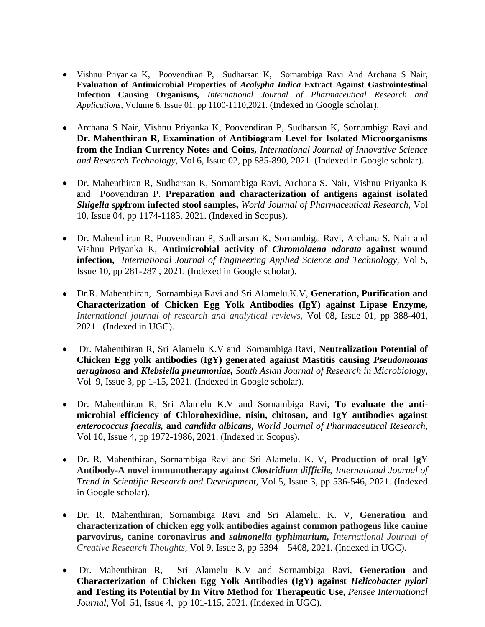- Vishnu Priyanka K, Poovendiran P, Sudharsan K, Sornambiga Ravi And Archana S Nair, **Evaluation of Antimicrobial Properties of** *Acalypha Indica* **Extract Against Gastrointestinal Infection Causing Organisms***, International Journal of Pharmaceutical Research and Applications,* Volume 6, Issue 01, pp 1100-1110,2021. (Indexed in Google scholar).
- Archana S Nair, Vishnu Priyanka K, Poovendiran P, Sudharsan K, Sornambiga Ravi and **Dr. Mahenthiran R, Examination of Antibiogram Level for Isolated Microorganisms from the Indian Currency Notes and Coins,** *International Journal of Innovative Science and Research Technology,* Vol 6, Issue 02, pp 885-890, 2021. (Indexed in Google scholar).
- Dr. Mahenthiran R, Sudharsan K, Sornambiga Ravi, Archana S. Nair, Vishnu Priyanka K and Poovendiran P. **Preparation and characterization of antigens against isolated**  *Shigella spp***from infected stool samples,** *World Journal of Pharmaceutical Research,* Vol 10, Issue 04, pp 1174-1183, 2021. (Indexed in Scopus).
- Dr. Mahenthiran R, Poovendiran P, Sudharsan K, Sornambiga Ravi, Archana S. Nair and Vishnu Priyanka K, **Antimicrobial activity of** *Chromolaena odorata* **against wound infection,** *International Journal of Engineering Applied Science and Technology,* Vol 5, Issue 10, pp 281-287 , 2021. (Indexed in Google scholar).
- Dr.R. Mahenthiran, Sornambiga Ravi and Sri Alamelu.K.V, **Generation, Purification and Characterization of Chicken Egg Yolk Antibodies (IgY) against Lipase Enzyme,**  *International journal of research and analytical reviews,* Vol 08, Issue 01, pp 388-401, 2021. (Indexed in UGC).
- Dr. Mahenthiran R, Sri Alamelu K.V and Sornambiga Ravi, **Neutralization Potential of Chicken Egg yolk antibodies (IgY) generated against Mastitis causing** *Pseudomonas aeruginosa* **and** *Klebsiella pneumoniae, [South Asian Journal of Research in Microbiology,](http://ditdo.in/sajrm)*  Vol 9, Issue 3, pp 1-15, 2021. (Indexed in Google scholar).
- Dr. Mahenthiran R, Sri Alamelu K.V and Sornambiga Ravi, **To evaluate the antimicrobial efficiency of Chlorohexidine, nisin, chitosan, and IgY antibodies against**  *enterococcus faecalis,* **and** *candida albicans, World Journal of Pharmaceutical Research,*  Vol 10, Issue 4, pp 1972-1986, 2021. (Indexed in Scopus).
- Dr. R. Mahenthiran, Sornambiga Ravi and Sri Alamelu. K. V, **Production of oral IgY Antibody-A novel immunotherapy against** *Clostridium difficile, International Journal of Trend in Scientific Research and Development,* Vol 5, Issue 3, pp 536-546, 2021. (Indexed in Google scholar).
- Dr. R. Mahenthiran, Sornambiga Ravi and Sri Alamelu. K. V, **Generation and characterization of chicken egg yolk antibodies against common pathogens like canine parvovirus, canine coronavirus and** *salmonella typhimurium, International Journal of Creative Research Thoughts,* Vol 9, Issue 3, pp 5394 – 5408, 2021. (Indexed in UGC).
- Dr. Mahenthiran R, Sri Alamelu K.V and Sornambiga Ravi, **Generation and Characterization of Chicken Egg Yolk Antibodies (IgY) against** *Helicobacter pylori* **and Testing its Potential by In Vitro Method for Therapeutic Use,** *Pensee International Journal,* Vol 51, Issue 4, pp 101-115, 2021. (Indexed in UGC).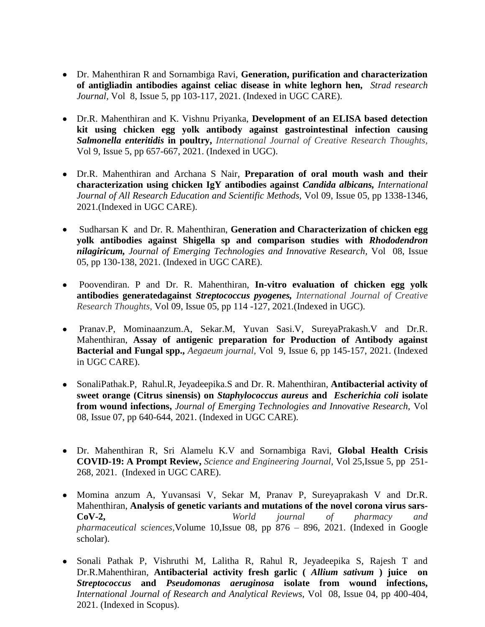- Dr. Mahenthiran R and Sornambiga Ravi, **Generation, purification and characterization of antigliadin antibodies against celiac disease in white leghorn hen,** *Strad research Journal,* Vol 8, Issue 5, pp 103-117, 2021. (Indexed in UGC CARE).
- Dr.R. Mahenthiran and K. Vishnu Priyanka, **Development of an ELISA based detection kit using chicken egg yolk antibody against gastrointestinal infection causing**  *Salmonella enteritidis* **in poultry,** *International Journal of Creative Research Thoughts,* Vol 9, Issue 5, pp 657-667, 2021. (Indexed in UGC).
- Dr.R. Mahenthiran and Archana S Nair, **Preparation of oral mouth wash and their characterization using chicken IgY antibodies against** *Candida albicans, International Journal of All Research Education and Scientific Methods,* Vol 09, Issue 05, pp 1338-1346, 2021.(Indexed in UGC CARE).
- Sudharsan K and Dr. R. Mahenthiran, **Generation and Characterization of chicken egg yolk antibodies against Shigella sp and comparison studies with** *Rhododendron nilagiricum, Journal of Emerging Technologies and Innovative Research,* Vol 08, Issue 05, pp 130-138, 2021. (Indexed in UGC CARE).
- Poovendiran. P and Dr. R. Mahenthiran, **In-vitro evaluation of chicken egg yolk antibodies generatedagainst** *Streptococcus pyogenes, International Journal of Creative Research Thoughts,* Vol 09, Issue 05, pp 114 -127, 2021.(Indexed in UGC).
- Pranav.P, Mominaanzum.A, Sekar.M, Yuvan Sasi.V, SureyaPrakash.V and Dr.R. Mahenthiran, **Assay of antigenic preparation for Production of Antibody against Bacterial and Fungal spp.,** *Aegaeum journal,* Vol 9, Issue 6, pp 145-157, 2021. (Indexed in UGC CARE).
- SonaliPathak.P, Rahul.R, Jeyadeepika.S and Dr. R. Mahenthiran, **Antibacterial activity of sweet orange (Citrus sinensis) on** *Staphylococcus aureus* **and** *Escherichia coli* **isolate from wound infections,** *Journal of Emerging Technologies and Innovative Research,* Vol 08, Issue 07, pp 640-644, 2021. (Indexed in UGC CARE).
- Dr. Mahenthiran R, Sri Alamelu K.V and Sornambiga Ravi, **Global Health Crisis COVID-19: A Prompt Review,** *Science and Engineering Journal,* Vol 25,Issue 5, pp 251- 268, 2021. (Indexed in UGC CARE).
- Momina anzum A, Yuvansasi V, Sekar M, Pranav P, Sureyaprakash V and Dr.R. Mahenthiran, **Analysis of genetic variants and mutations of the novel corona virus sars-CoV-2,** *World journal of pharmacy and pharmaceutical sciences,*Volume 10,Issue 08, pp 876 – 896, 2021. (Indexed in Google scholar).
- Sonali Pathak P, Vishruthi M, Lalitha R, Rahul R, Jeyadeepika S, Rajesh T and Dr.R.Mahenthiran, **Antibacterial activity fresh garlic (** *Allium sativum* **) juice on**  *Streptococcus* **and** *Pseudomonas aeruginosa* **isolate from wound infections,**  *International Journal of Research and Analytical Reviews,* Vol 08, Issue 04, pp 400-404, 2021. (Indexed in Scopus).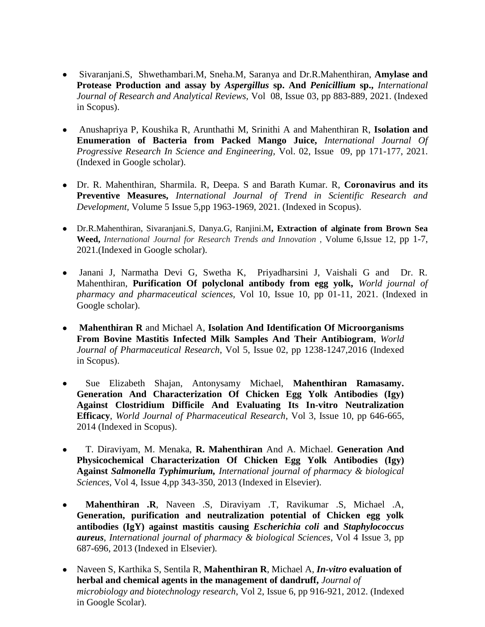- Sivaranjani.S, Shwethambari.M, Sneha.M, Saranya and Dr.R.Mahenthiran, **Amylase and Protease Production and assay by** *Aspergillus* **sp. And** *Penicillium* **sp.,** *International Journal of Research and Analytical Reviews,* Vol 08, Issue 03, pp 883-889, 2021. (Indexed in Scopus).
- Anushapriya P, Koushika R, Arunthathi M, Srinithi A and Mahenthiran R, **Isolation and Enumeration of Bacteria from Packed Mango Juice,** *International Journal Of Progressive Research In Science and Engineering,* Vol. 02, Issue 09, pp 171-177, 2021. (Indexed in Google scholar).
- Dr. R. Mahenthiran, Sharmila. R, Deepa. S and Barath Kumar. R, **Coronavirus and its Preventive Measures,** *International Journal of Trend in Scientific Research and Development,* Volume 5 Issue 5,pp 1963-1969, 2021. (Indexed in Scopus).
- Dr.R.Mahenthiran, Sivaranjani.S, Danya.G, Ranjini.M**, Extraction of alginate from Brown Sea Weed,** *International Journal for Research Trends and Innovation* , Volume 6,Issue 12, pp 1-7, 2021.(Indexed in Google scholar).
- Janani J, Narmatha Devi G, Swetha K, Priyadharsini J, Vaishali G and Dr. R. Mahenthiran, **Purification Of polyclonal antibody from egg yolk,** *World journal of pharmacy and pharmaceutical sciences,* Vol 10, Issue 10, pp 01-11, 2021. (Indexed in Google scholar).
- **Mahenthiran R** and Michael A, **Isolation And Identification Of Microorganisms From Bovine Mastitis Infected Milk Samples And Their Antibiogram**, *World Journal of Pharmaceutical Research*, Vol 5, Issue 02, pp 1238-1247,2016 (Indexed in Scopus).
- Sue Elizabeth Shajan, Antonysamy Michael, **Mahenthiran Ramasamy. Generation And Characterization Of Chicken Egg Yolk Antibodies (Igy) Against Clostridium Difficile And Evaluating Its In-vitro Neutralization Efficacy**, *World Journal of Pharmaceutical Research*, Vol 3, Issue 10, pp 646-665, 2014 (Indexed in Scopus).
- T. Diraviyam, M. Menaka, **R. Mahenthiran** And A. Michael. **Generation And Physicochemical Characterization Of Chicken Egg Yolk Antibodies (Igy) Against** *Salmonella Typhimurium, International journal of pharmacy & biological Sciences*, Vol 4, Issue 4,pp 343-350, 2013 (Indexed in Elsevier).
- **Mahenthiran .R**, Naveen .S, Diraviyam .T, Ravikumar .S, Michael .A, **Generation, purification and neutralization potential of Chicken egg yolk antibodies (IgY) against mastitis causing** *Escherichia coli* **and** *Staphylococcus aureus*, *International journal of pharmacy & biological Sciences*, Vol 4 Issue 3, pp 687-696, 2013 (Indexed in Elsevier).
- Naveen S, Karthika S, Sentila R, **Mahenthiran R**, Michael A, *In-vitro* **evaluation of herbal and chemical agents in the management of dandruff,** *Journal of microbiology and biotechnology research*, Vol 2, Issue 6, pp 916-921, 2012. (Indexed in Google Scolar).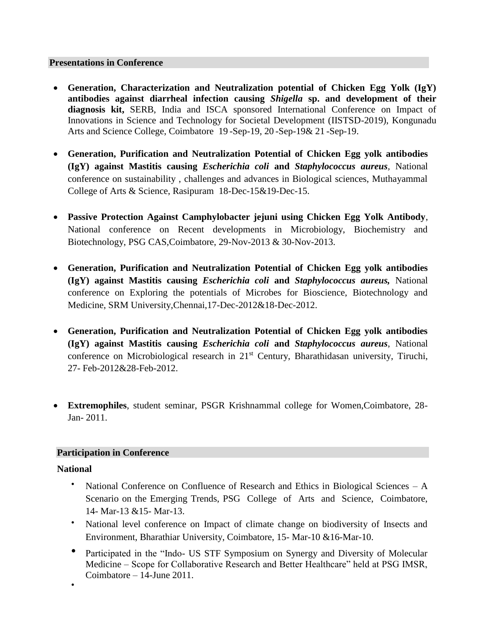#### **Presentations in Conference**

- **Generation, Characterization and Neutralization potential of Chicken Egg Yolk (IgY) antibodies against diarrheal infection causing** *Shigella* **sp. and development of their diagnosis kit,** SERB, India and ISCA sponsored International Conference on Impact of Innovations in Science and Technology for Societal Development (IISTSD-2019), Kongunadu Arts and Science College, Coimbatore 19 -Sep-19, 20 -Sep-19& 21 -Sep-19.
- **Generation, Purification and Neutralization Potential of Chicken Egg yolk antibodies (IgY) against Mastitis causing** *Escherichia coli* **and** *Staphylococcus aureus,* National conference on sustainability , challenges and advances in Biological sciences, Muthayammal College of Arts & Science, Rasipuram 18-Dec-15&19-Dec-15.
- **Passive Protection Against Camphylobacter jejuni using Chicken Egg Yolk Antibody**, National conference on Recent developments in Microbiology, Biochemistry and Biotechnology, PSG CAS,Coimbatore, 29-Nov-2013 & 30-Nov-2013.
- **Generation, Purification and Neutralization Potential of Chicken Egg yolk antibodies (IgY) against Mastitis causing** *Escherichia coli* **and** *Staphylococcus aureus,* National conference on Exploring the potentials of Microbes for Bioscience, Biotechnology and Medicine, SRM University,Chennai,17-Dec-2012&18-Dec-2012.
- **Generation, Purification and Neutralization Potential of Chicken Egg yolk antibodies (IgY) against Mastitis causing** *Escherichia coli* **and** *Staphylococcus aureus*, National conference on Microbiological research in 21<sup>st</sup> Century, Bharathidasan university, Tiruchi, 27- Feb-2012&28-Feb-2012.
- **Extremophiles**, student seminar, PSGR Krishnammal college for Women,Coimbatore, 28- Jan- 2011.

## **Participation in Conference**

## **National**

- National Conference on Confluence of Research and Ethics in Biological Sciences A Scenario on the Emerging Trends, PSG College of Arts and Science, Coimbatore, 14- Mar-13 &15- Mar-13.
- National level conference on Impact of climate change on biodiversity of Insects and Environment, Bharathiar University, Coimbatore, 15- Mar-10 &16-Mar-10.
- Participated in the "Indo- US STF Symposium on Synergy and Diversity of Molecular Medicine – Scope for Collaborative Research and Better Healthcare" held at PSG IMSR, Coimbatore – 14-June 2011.

•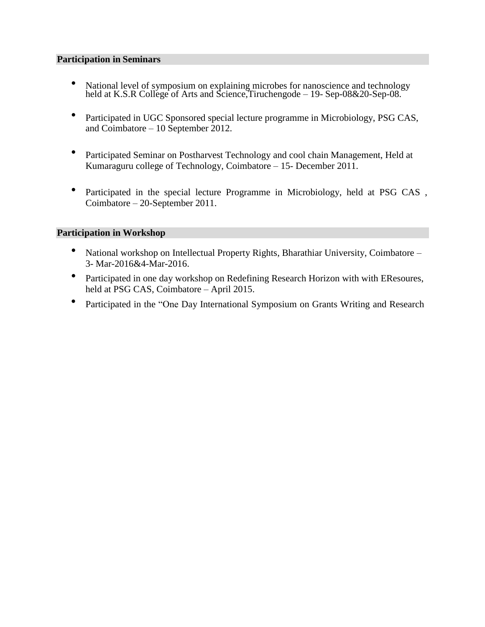#### **Participation in Seminars**

- National level of symposium on explaining microbes for nanoscience and technology held at K.S.R College of Arts and Science,Tiruchengode – 19- Sep-08&20-Sep-08.
- Participated in UGC Sponsored special lecture programme in Microbiology, PSG CAS, and Coimbatore – 10 September 2012.
- Participated Seminar on Postharvest Technology and cool chain Management, Held at Kumaraguru college of Technology, Coimbatore – 15- December 2011.
- Participated in the special lecture Programme in Microbiology, held at PSG CAS, Coimbatore – 20-September 2011.

#### **Participation in Workshop**

- National workshop on Intellectual Property Rights, Bharathiar University, Coimbatore 3- Mar-2016&4-Mar-2016.
- Participated in one day workshop on Redefining Research Horizon with with EResoures, held at PSG CAS, Coimbatore – April 2015.
- Participated in the "One Day International Symposium on Grants Writing and Research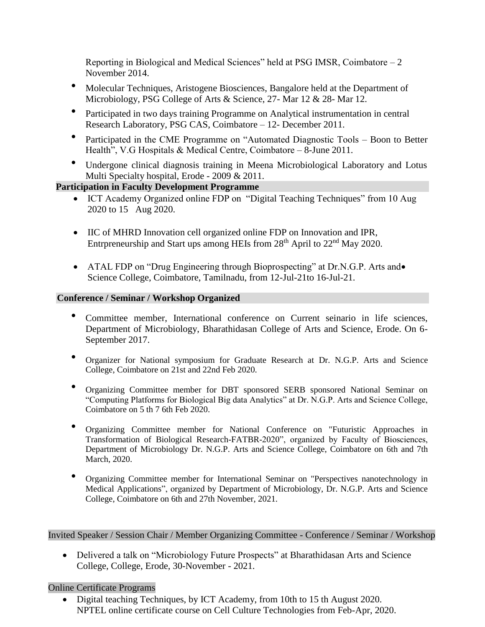Reporting in Biological and Medical Sciences" held at PSG IMSR, Coimbatore  $-2$ November 2014.

- Molecular Techniques, Aristogene Biosciences, Bangalore held at the Department of Microbiology, PSG College of Arts & Science, 27- Mar 12 & 28- Mar 12.
- Participated in two days training Programme on Analytical instrumentation in central Research Laboratory, PSG CAS, Coimbatore – 12- December 2011.
- Participated in the CME Programme on "Automated Diagnostic Tools Boon to Better Health", V.G Hospitals & Medical Centre, Coimbatore – 8-June 2011.
- Undergone clinical diagnosis training in Meena Microbiological Laboratory and Lotus Multi Specialty hospital, Erode - 2009 & 2011.

# **Participation in Faculty Development Programme**

- ICT Academy Organized online FDP on "Digital Teaching Techniques" from 10 Aug 2020 to 15 Aug 2020.
- IIC of MHRD Innovation cell organized online FDP on Innovation and IPR, Entrpreneurship and Start ups among HEIs from  $28<sup>th</sup>$  April to  $22<sup>nd</sup>$  May 2020.
- ATAL FDP on "Drug Engineering through Bioprospecting" at Dr.N.G.P. Arts and Science College, Coimbatore, Tamilnadu, from 12-Jul-21to 16-Jul-21.

# **Conference / Seminar / Workshop Organized**

- Committee member, International conference on Current seinario in life sciences, Department of Microbiology, Bharathidasan College of Arts and Science, Erode. On 6- September 2017.
- Organizer for National symposium for Graduate Research at Dr. N.G.P. Arts and Science College, Coimbatore on 21st and 22nd Feb 2020.
- Organizing Committee member for DBT sponsored SERB sponsored National Seminar on "Computing Platforms for Biological Big data Analytics" at Dr. N.G.P. Arts and Science College, Coimbatore on 5 th 7 6th Feb 2020.
- Organizing Committee member for National Conference on "Futuristic Approaches in Transformation of Biological Research-FATBR-2020", organized by Faculty of Biosciences, Department of Microbiology Dr. N.G.P. Arts and Science College, Coimbatore on 6th and 7th March, 2020.
- Organizing Committee member for International Seminar on "Perspectives nanotechnology in Medical Applications", organized by Department of Microbiology, Dr. N.G.P. Arts and Science College, Coimbatore on 6th and 27th November, 2021.

Invited Speaker / Session Chair / Member Organizing Committee - Conference / Seminar / Workshop

• Delivered a talk on "Microbiology Future Prospects" at Bharathidasan Arts and Science College, College, Erode, 30-November - 2021.

## Online Certificate Programs

• Digital teaching Techniques, by ICT Academy, from 10th to 15 th August 2020. NPTEL online certificate course on Cell Culture Technologies from Feb-Apr, 2020.